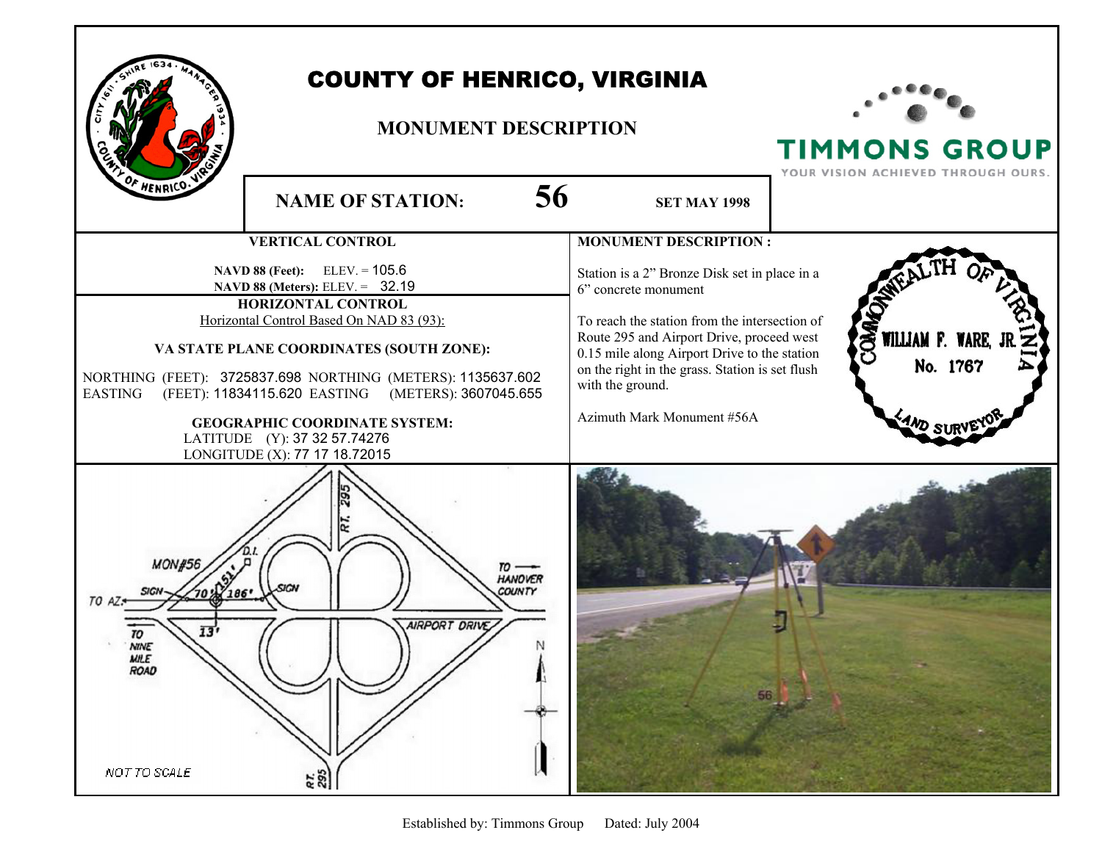

WILLIAM F. WAR

No. 1767